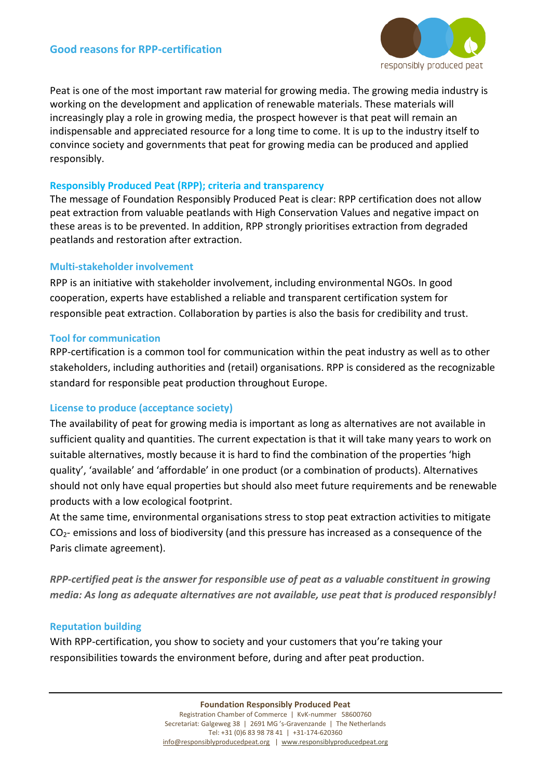

Peat is one of the most important raw material for growing media. The growing media industry is working on the development and application of renewable materials. These materials will increasingly play a role in growing media, the prospect however is that peat will remain an indispensable and appreciated resource for a long time to come. It is up to the industry itself to convince society and governments that peat for growing media can be produced and applied responsibly.

## **Responsibly Produced Peat (RPP); criteria and transparency**

The message of Foundation Responsibly Produced Peat is clear: RPP certification does not allow peat extraction from valuable peatlands with High Conservation Values and negative impact on these areas is to be prevented. In addition, RPP strongly prioritises extraction from degraded peatlands and restoration after extraction.

## **Multi-stakeholder involvement**

RPP is an initiative with stakeholder involvement, including environmental NGOs. In good cooperation, experts have established a reliable and transparent certification system for responsible peat extraction. Collaboration by parties is also the basis for credibility and trust.

## **Tool for communication**

RPP-certification is a common tool for communication within the peat industry as well as to other stakeholders, including authorities and (retail) organisations. RPP is considered as the recognizable standard for responsible peat production throughout Europe.

#### **License to produce (acceptance society)**

The availability of peat for growing media is important as long as alternatives are not available in sufficient quality and quantities. The current expectation is that it will take many years to work on suitable alternatives, mostly because it is hard to find the combination of the properties 'high quality', 'available' and 'affordable' in one product (or a combination of products). Alternatives should not only have equal properties but should also meet future requirements and be renewable products with a low ecological footprint.

At the same time, environmental organisations stress to stop peat extraction activities to mitigate CO2- emissions and loss of biodiversity (and this pressure has increased as a consequence of the Paris climate agreement).

*RPP-certified peat is the answer for responsible use of peat as a valuable constituent in growing media: As long as adequate alternatives are not available, use peat that is produced responsibly!*

# **Reputation building**

With RPP-certification, you show to society and your customers that you're taking your responsibilities towards the environment before, during and after peat production.